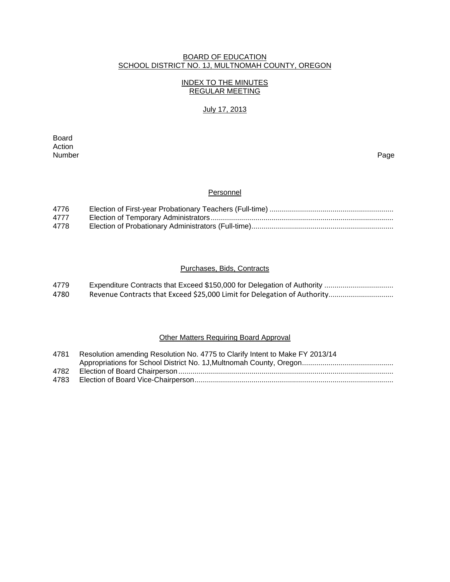## BOARD OF EDUCATION SCHOOL DISTRICT NO. 1J, MULTNOMAH COUNTY, OREGON

# INDEX TO THE MINUTES REGULAR MEETING

# July 17, 2013

**Board Board** Action<br>Number Number Page

## **Personnel**

| 4776 |  |
|------|--|
| 4777 |  |
| 4778 |  |

# Purchases, Bids, Contracts

| 4779 |                                                                          |
|------|--------------------------------------------------------------------------|
| 4780 | Revenue Contracts that Exceed \$25,000 Limit for Delegation of Authority |

# Other Matters Requiring Board Approval

| 4781 | Resolution amending Resolution No. 4775 to Clarify Intent to Make FY 2013/14 |
|------|------------------------------------------------------------------------------|
|      |                                                                              |
| 4782 |                                                                              |
|      |                                                                              |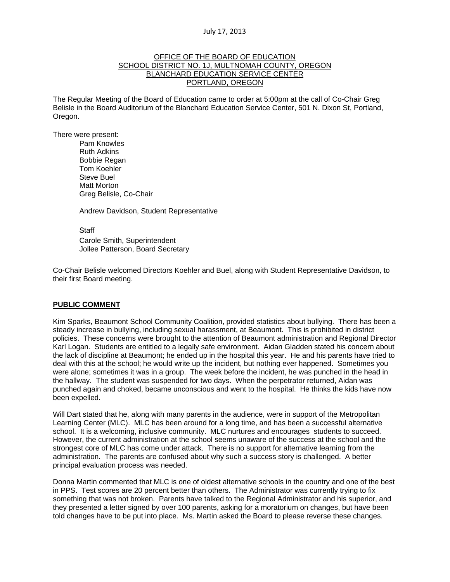### OFFICE OF THE BOARD OF EDUCATION SCHOOL DISTRICT NO. 1J, MULTNOMAH COUNTY, OREGON BLANCHARD EDUCATION SERVICE CENTER PORTLAND, OREGON

The Regular Meeting of the Board of Education came to order at 5:00pm at the call of Co-Chair Greg Belisle in the Board Auditorium of the Blanchard Education Service Center, 501 N. Dixon St, Portland, Oregon.

There were present: Pam Knowles

Ruth Adkins Bobbie Regan Tom Koehler Steve Buel Matt Morton Greg Belisle, Co-Chair

Andrew Davidson, Student Representative

Staff

 Carole Smith, Superintendent Jollee Patterson, Board Secretary

Co-Chair Belisle welcomed Directors Koehler and Buel, along with Student Representative Davidson, to their first Board meeting.

### **PUBLIC COMMENT**

Kim Sparks, Beaumont School Community Coalition, provided statistics about bullying. There has been a steady increase in bullying, including sexual harassment, at Beaumont. This is prohibited in district policies. These concerns were brought to the attention of Beaumont administration and Regional Director Karl Logan. Students are entitled to a legally safe environment. Aidan Gladden stated his concern about the lack of discipline at Beaumont; he ended up in the hospital this year. He and his parents have tried to deal with this at the school; he would write up the incident, but nothing ever happened. Sometimes you were alone; sometimes it was in a group. The week before the incident, he was punched in the head in the hallway. The student was suspended for two days. When the perpetrator returned, Aidan was punched again and choked, became unconscious and went to the hospital. He thinks the kids have now been expelled.

Will Dart stated that he, along with many parents in the audience, were in support of the Metropolitan Learning Center (MLC). MLC has been around for a long time, and has been a successful alternative school. It is a welcoming, inclusive community. MLC nurtures and encourages students to succeed. However, the current administration at the school seems unaware of the success at the school and the strongest core of MLC has come under attack. There is no support for alternative learning from the administration. The parents are confused about why such a success story is challenged. A better principal evaluation process was needed.

Donna Martin commented that MLC is one of oldest alternative schools in the country and one of the best in PPS. Test scores are 20 percent better than others. The Administrator was currently trying to fix something that was not broken. Parents have talked to the Regional Administrator and his superior, and they presented a letter signed by over 100 parents, asking for a moratorium on changes, but have been told changes have to be put into place. Ms. Martin asked the Board to please reverse these changes.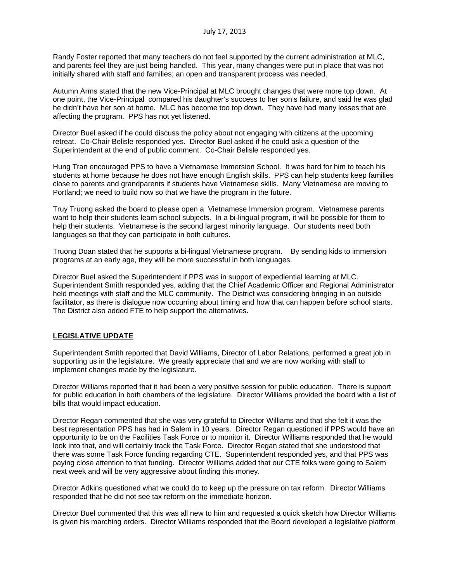Randy Foster reported that many teachers do not feel supported by the current administration at MLC, and parents feel they are just being handled. This year, many changes were put in place that was not initially shared with staff and families; an open and transparent process was needed.

Autumn Arms stated that the new Vice-Principal at MLC brought changes that were more top down. At one point, the Vice-Principal compared his daughter's success to her son's failure, and said he was glad he didn't have her son at home. MLC has become too top down. They have had many losses that are affecting the program. PPS has not yet listened.

Director Buel asked if he could discuss the policy about not engaging with citizens at the upcoming retreat. Co-Chair Belisle responded yes. Director Buel asked if he could ask a question of the Superintendent at the end of public comment. Co-Chair Belisle responded yes.

Hung Tran encouraged PPS to have a Vietnamese Immersion School. It was hard for him to teach his students at home because he does not have enough English skills. PPS can help students keep families close to parents and grandparents if students have Vietnamese skills. Many Vietnamese are moving to Portland; we need to build now so that we have the program in the future.

Truy Truong asked the board to please open a Vietnamese Immersion program. Vietnamese parents want to help their students learn school subjects. In a bi-lingual program, it will be possible for them to help their students. Vietnamese is the second largest minority language. Our students need both languages so that they can participate in both cultures.

Truong Doan stated that he supports a bi-lingual Vietnamese program. By sending kids to immersion programs at an early age, they will be more successful in both languages.

Director Buel asked the Superintendent if PPS was in support of expediential learning at MLC. Superintendent Smith responded yes, adding that the Chief Academic Officer and Regional Administrator held meetings with staff and the MLC community. The District was considering bringing in an outside facilitator, as there is dialogue now occurring about timing and how that can happen before school starts. The District also added FTE to help support the alternatives.

### **LEGISLATIVE UPDATE**

Superintendent Smith reported that David Williams, Director of Labor Relations, performed a great job in supporting us in the legislature. We greatly appreciate that and we are now working with staff to implement changes made by the legislature.

Director Williams reported that it had been a very positive session for public education. There is support for public education in both chambers of the legislature. Director Williams provided the board with a list of bills that would impact education.

Director Regan commented that she was very grateful to Director Williams and that she felt it was the best representation PPS has had in Salem in 10 years. Director Regan questioned if PPS would have an opportunity to be on the Facilities Task Force or to monitor it. Director Williams responded that he would look into that, and will certainly track the Task Force. Director Regan stated that she understood that there was some Task Force funding regarding CTE. Superintendent responded yes, and that PPS was paying close attention to that funding. Director Williams added that our CTE folks were going to Salem next week and will be very aggressive about finding this money.

Director Adkins questioned what we could do to keep up the pressure on tax reform. Director Williams responded that he did not see tax reform on the immediate horizon.

Director Buel commented that this was all new to him and requested a quick sketch how Director Williams is given his marching orders. Director Williams responded that the Board developed a legislative platform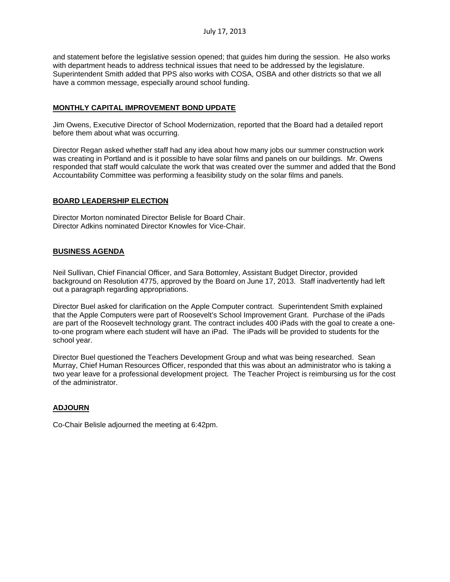and statement before the legislative session opened; that guides him during the session. He also works with department heads to address technical issues that need to be addressed by the legislature. Superintendent Smith added that PPS also works with COSA, OSBA and other districts so that we all have a common message, especially around school funding.

## **MONTHLY CAPITAL IMPROVEMENT BOND UPDATE**

Jim Owens, Executive Director of School Modernization, reported that the Board had a detailed report before them about what was occurring.

Director Regan asked whether staff had any idea about how many jobs our summer construction work was creating in Portland and is it possible to have solar films and panels on our buildings. Mr. Owens responded that staff would calculate the work that was created over the summer and added that the Bond Accountability Committee was performing a feasibility study on the solar films and panels.

### **BOARD LEADERSHIP ELECTION**

Director Morton nominated Director Belisle for Board Chair. Director Adkins nominated Director Knowles for Vice-Chair.

### **BUSINESS AGENDA**

Neil Sullivan, Chief Financial Officer, and Sara Bottomley, Assistant Budget Director, provided background on Resolution 4775, approved by the Board on June 17, 2013. Staff inadvertently had left out a paragraph regarding appropriations.

Director Buel asked for clarification on the Apple Computer contract. Superintendent Smith explained that the Apple Computers were part of Roosevelt's School Improvement Grant. Purchase of the iPads are part of the Roosevelt technology grant. The contract includes 400 iPads with the goal to create a oneto-one program where each student will have an iPad. The iPads will be provided to students for the school year.

Director Buel questioned the Teachers Development Group and what was being researched. Sean Murray, Chief Human Resources Officer, responded that this was about an administrator who is taking a two year leave for a professional development project. The Teacher Project is reimbursing us for the cost of the administrator.

# **ADJOURN**

Co-Chair Belisle adjourned the meeting at 6:42pm.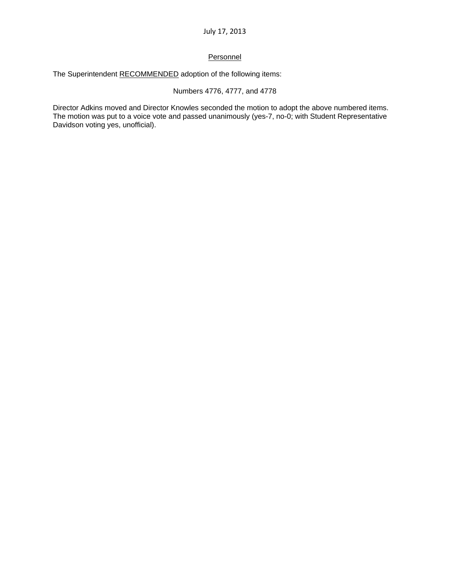## **Personnel**

The Superintendent RECOMMENDED adoption of the following items:

## Numbers 4776, 4777, and 4778

Director Adkins moved and Director Knowles seconded the motion to adopt the above numbered items. The motion was put to a voice vote and passed unanimously (yes-7, no-0; with Student Representative Davidson voting yes, unofficial).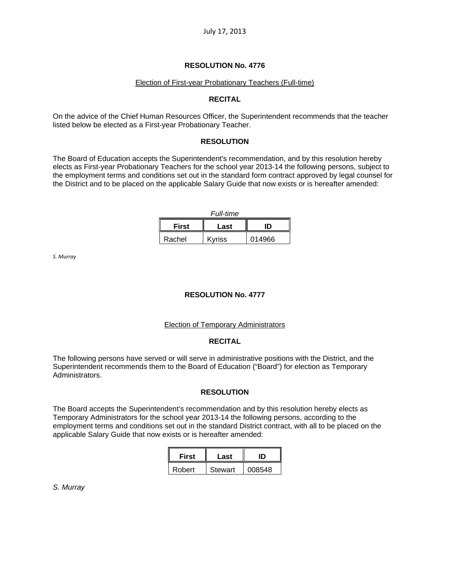## **RESOLUTION No. 4776**

#### Election of First-year Probationary Teachers (Full-time)

### **RECITAL**

On the advice of the Chief Human Resources Officer, the Superintendent recommends that the teacher listed below be elected as a First-year Probationary Teacher.

### **RESOLUTION**

The Board of Education accepts the Superintendent's recommendation, and by this resolution hereby elects as First-year Probationary Teachers for the school year 2013-14 the following persons, subject to the employment terms and conditions set out in the standard form contract approved by legal counsel for the District and to be placed on the applicable Salary Guide that now exists or is hereafter amended:

| <b>Full-time</b>           |               |        |  |  |  |
|----------------------------|---------------|--------|--|--|--|
| <b>First</b><br>חו<br>Last |               |        |  |  |  |
| Rachel                     | <b>Kyriss</b> | 014966 |  |  |  |

*S. Murray*

### **RESOLUTION No. 4777**

### Election of Temporary Administrators

### **RECITAL**

The following persons have served or will serve in administrative positions with the District, and the Superintendent recommends them to the Board of Education ("Board") for election as Temporary Administrators.

### **RESOLUTION**

The Board accepts the Superintendent's recommendation and by this resolution hereby elects as Temporary Administrators for the school year 2013-14 the following persons, according to the employment terms and conditions set out in the standard District contract, with all to be placed on the applicable Salary Guide that now exists or is hereafter amended:

| <b>First</b> | Last    |        |  |
|--------------|---------|--------|--|
| Robert       | Stewart | 008548 |  |

*S. Murray*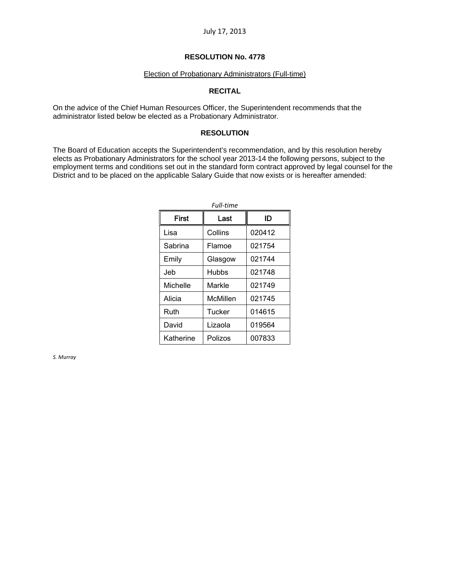### **RESOLUTION No. 4778**

#### Election of Probationary Administrators (Full-time)

### **RECITAL**

On the advice of the Chief Human Resources Officer, the Superintendent recommends that the administrator listed below be elected as a Probationary Administrator.

### **RESOLUTION**

The Board of Education accepts the Superintendent's recommendation, and by this resolution hereby elects as Probationary Administrators for the school year 2013-14 the following persons, subject to the employment terms and conditions set out in the standard form contract approved by legal counsel for the District and to be placed on the applicable Salary Guide that now exists or is hereafter amended:

| Full-time    |          |        |  |  |  |
|--------------|----------|--------|--|--|--|
| <b>First</b> | Last     | ID     |  |  |  |
| Lisa         | Collins  | 020412 |  |  |  |
| Sabrina      | Flamoe   | 021754 |  |  |  |
| Emily        | Glasgow  | 021744 |  |  |  |
| Jeb          | Hubbs    | 021748 |  |  |  |
| Michelle     | Markle   | 021749 |  |  |  |
| Alicia       | McMillen | 021745 |  |  |  |
| Ruth         | Tucker   | 014615 |  |  |  |
| David        | Lizaola  | 019564 |  |  |  |
| Katherine    | Polizos  | 007833 |  |  |  |

*S. Murray*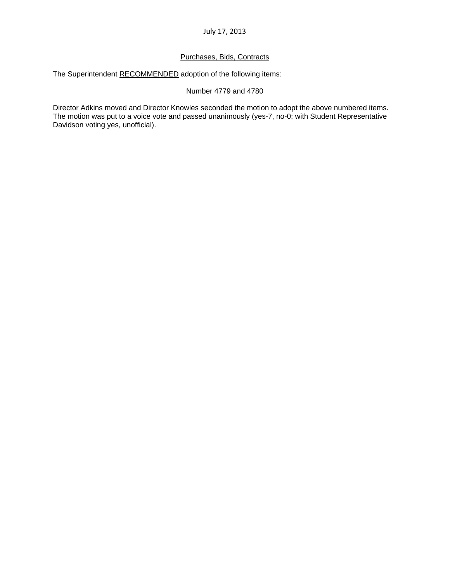# Purchases, Bids, Contracts

The Superintendent RECOMMENDED adoption of the following items:

# Number 4779 and 4780

Director Adkins moved and Director Knowles seconded the motion to adopt the above numbered items. The motion was put to a voice vote and passed unanimously (yes-7, no-0; with Student Representative Davidson voting yes, unofficial).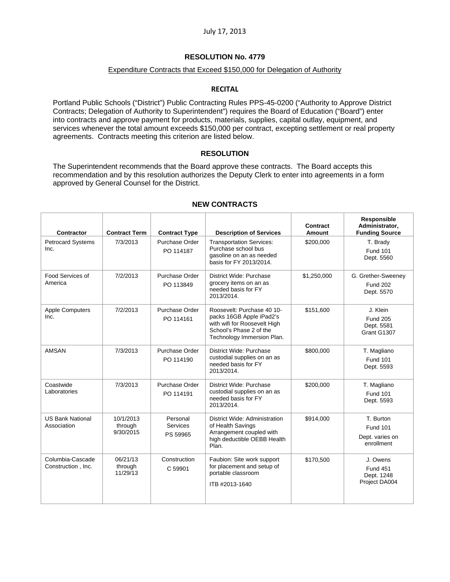# **RESOLUTION No. 4779**

## Expenditure Contracts that Exceed \$150,000 for Delegation of Authority

## **RECITAL**

Portland Public Schools ("District") Public Contracting Rules PPS-45-0200 ("Authority to Approve District Contracts; Delegation of Authority to Superintendent") requires the Board of Education ("Board") enter into contracts and approve payment for products, materials, supplies, capital outlay, equipment, and services whenever the total amount exceeds \$150,000 per contract, excepting settlement or real property agreements. Contracts meeting this criterion are listed below.

### **RESOLUTION**

The Superintendent recommends that the Board approve these contracts. The Board accepts this recommendation and by this resolution authorizes the Deputy Clerk to enter into agreements in a form approved by General Counsel for the District.

| <b>Contractor</b>                      | <b>Contract Term</b>              | <b>Contract Type</b>                    | <b>Description of Services</b>                                                                                                                  | Contract<br><b>Amount</b> | Responsible<br>Administrator,<br><b>Funding Source</b>        |
|----------------------------------------|-----------------------------------|-----------------------------------------|-------------------------------------------------------------------------------------------------------------------------------------------------|---------------------------|---------------------------------------------------------------|
| <b>Petrocard Systems</b><br>Inc.       | 7/3/2013                          | Purchase Order<br>PO 114187             | <b>Transportation Services:</b><br>Purchase school bus<br>gasoline on an as needed<br>basis for FY 2013/2014.                                   | \$200.000                 | T. Brady<br><b>Fund 101</b><br>Dept. 5560                     |
| Food Services of<br>America            | 7/2/2013                          | Purchase Order<br>PO 113849             | District Wide: Purchase<br>grocery items on an as<br>needed basis for FY<br>2013/2014.                                                          | \$1,250,000               | G. Grether-Sweeney<br><b>Fund 202</b><br>Dept. 5570           |
| <b>Apple Computers</b><br>Inc.         | 7/2/2013                          | Purchase Order<br>PO 114161             | Roosevelt: Purchase 40 10-<br>packs 16GB Apple iPad2's<br>with wifi for Roosevelt High<br>School's Phase 2 of the<br>Technology Immersion Plan. | \$151,600                 | J. Klein<br><b>Fund 205</b><br>Dept. 5581<br>Grant G1307      |
| <b>AMSAN</b>                           | 7/3/2013                          | Purchase Order<br>PO 114190             | District Wide: Purchase<br>custodial supplies on an as<br>needed basis for FY<br>2013/2014.                                                     | \$800,000                 | T. Magliano<br><b>Fund 101</b><br>Dept. 5593                  |
| Coastwide<br>Laboratories              | 7/3/2013                          | Purchase Order<br>PO 114191             | District Wide: Purchase<br>custodial supplies on an as<br>needed basis for FY<br>2013/2014.                                                     | \$200,000                 | T. Magliano<br><b>Fund 101</b><br>Dept. 5593                  |
| <b>US Bank National</b><br>Association | 10/1/2013<br>through<br>9/30/2015 | Personal<br><b>Services</b><br>PS 59965 | District Wide: Administration<br>of Health Savings<br>Arrangement coupled with<br>high deductible OEBB Health<br>Plan.                          | \$914,000                 | T. Burton<br><b>Fund 101</b><br>Dept. varies on<br>enrollment |
| Columbia-Cascade<br>Construction, Inc. | 06/21/13<br>through<br>11/29/13   | Construction<br>C 59901                 | Faubion: Site work support<br>for placement and setup of<br>portable classroom<br>ITB #2013-1640                                                | \$170,500                 | J. Owens<br><b>Fund 451</b><br>Dept. 1248<br>Project DA004    |

# **NEW CONTRACTS**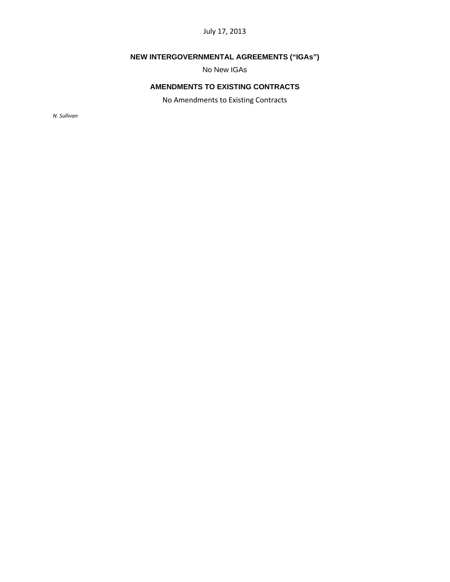# **NEW INTERGOVERNMENTAL AGREEMENTS ("IGAs")**

No New IGAs

# **AMENDMENTS TO EXISTING CONTRACTS**

No Amendments to Existing Contracts

*N. Sullivan*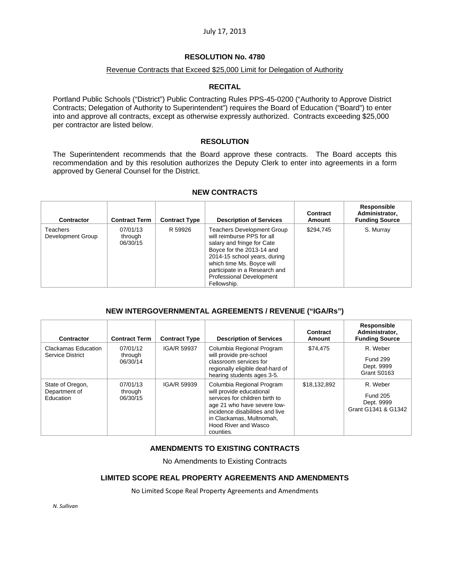## **RESOLUTION No. 4780**

### Revenue Contracts that Exceed \$25,000 Limit for Delegation of Authority

### **RECITAL**

Portland Public Schools ("District") Public Contracting Rules PPS-45-0200 ("Authority to Approve District Contracts; Delegation of Authority to Superintendent") requires the Board of Education ("Board") to enter into and approve all contracts, except as otherwise expressly authorized. Contracts exceeding \$25,000 per contractor are listed below.

## **RESOLUTION**

The Superintendent recommends that the Board approve these contracts. The Board accepts this recommendation and by this resolution authorizes the Deputy Clerk to enter into agreements in a form approved by General Counsel for the District.

| Contractor                           | <b>Contract Term</b>            | <b>Contract Type</b> | <b>Description of Services</b>                                                                                                                                                                                                                                      | Contract<br><b>Amount</b> | Responsible<br>Administrator,<br><b>Funding Source</b> |
|--------------------------------------|---------------------------------|----------------------|---------------------------------------------------------------------------------------------------------------------------------------------------------------------------------------------------------------------------------------------------------------------|---------------------------|--------------------------------------------------------|
| <b>Teachers</b><br>Development Group | 07/01/13<br>through<br>06/30/15 | R 59926              | <b>Teachers Development Group</b><br>will reimburse PPS for all<br>salary and fringe for Cate<br>Boyce for the 2013-14 and<br>2014-15 school years, during<br>which time Ms. Boyce will<br>participate in a Research and<br>Professional Development<br>Fellowship. | \$294,745                 | S. Murray                                              |

#### **NEW CONTRACTS**

### **NEW INTERGOVERNMENTAL AGREEMENTS / REVENUE ("IGA/Rs")**

| Contractor                                     | <b>Contract Term</b>            | <b>Contract Type</b> | <b>Description of Services</b>                                                                                                                                                                                             | Contract<br>Amount | Responsible<br>Administrator,<br><b>Funding Source</b>           |
|------------------------------------------------|---------------------------------|----------------------|----------------------------------------------------------------------------------------------------------------------------------------------------------------------------------------------------------------------------|--------------------|------------------------------------------------------------------|
| Clackamas Education<br>Service District        | 07/01/12<br>through<br>06/30/14 | IGA/R 59937          | Columbia Regional Program<br>will provide pre-school<br>classroom services for<br>regionally eligible deaf-hard of<br>hearing students ages 3-5.                                                                           | \$74,475           | R. Weber<br><b>Fund 299</b><br>Dept. 9999<br>Grant S0163         |
| State of Oregon,<br>Department of<br>Education | 07/01/13<br>through<br>06/30/15 | IGA/R 59939          | Columbia Regional Program<br>will provide educational<br>services for children birth to<br>age 21 who have severe low-<br>incidence disabilities and live<br>in Clackamas, Multnomah,<br>Hood River and Wasco<br>counties. | \$18,132,892       | R. Weber<br><b>Fund 205</b><br>Dept. 9999<br>Grant G1341 & G1342 |

# **AMENDMENTS TO EXISTING CONTRACTS**

No Amendments to Existing Contracts

### **LIMITED SCOPE REAL PROPERTY AGREEMENTS AND AMENDMENTS**

No Limited Scope Real Property Agreements and Amendments

*N. Sullivan*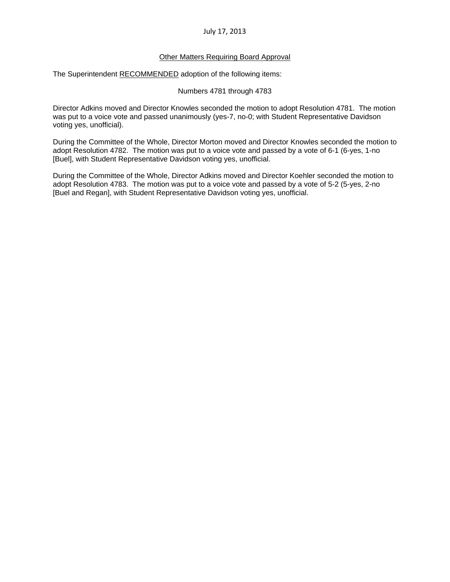### Other Matters Requiring Board Approval

The Superintendent RECOMMENDED adoption of the following items:

#### Numbers 4781 through 4783

Director Adkins moved and Director Knowles seconded the motion to adopt Resolution 4781. The motion was put to a voice vote and passed unanimously (yes-7, no-0; with Student Representative Davidson voting yes, unofficial).

During the Committee of the Whole, Director Morton moved and Director Knowles seconded the motion to adopt Resolution 4782. The motion was put to a voice vote and passed by a vote of 6-1 (6-yes, 1-no [Buel], with Student Representative Davidson voting yes, unofficial.

During the Committee of the Whole, Director Adkins moved and Director Koehler seconded the motion to adopt Resolution 4783. The motion was put to a voice vote and passed by a vote of 5-2 (5-yes, 2-no [Buel and Regan], with Student Representative Davidson voting yes, unofficial.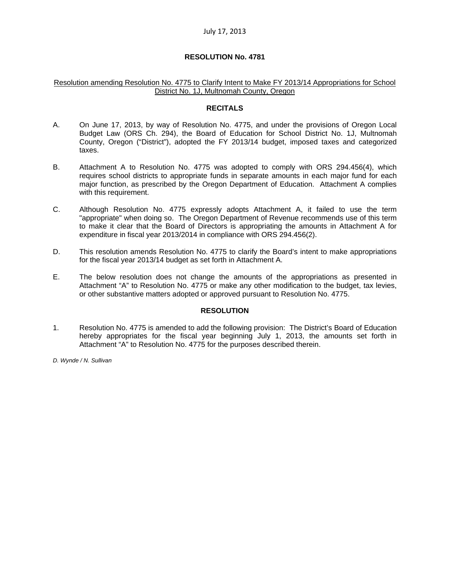### **RESOLUTION No. 4781**

#### Resolution amending Resolution No. 4775 to Clarify Intent to Make FY 2013/14 Appropriations for School District No. 1J, Multnomah County, Oregon

#### **RECITALS**

- A. On June 17, 2013, by way of Resolution No. 4775, and under the provisions of Oregon Local Budget Law (ORS Ch. 294), the Board of Education for School District No. 1J, Multnomah County, Oregon ("District"), adopted the FY 2013/14 budget, imposed taxes and categorized taxes.
- B. Attachment A to Resolution No. 4775 was adopted to comply with ORS 294.456(4), which requires school districts to appropriate funds in separate amounts in each major fund for each major function, as prescribed by the Oregon Department of Education. Attachment A complies with this requirement.
- C. Although Resolution No. 4775 expressly adopts Attachment A, it failed to use the term "appropriate" when doing so. The Oregon Department of Revenue recommends use of this term to make it clear that the Board of Directors is appropriating the amounts in Attachment A for expenditure in fiscal year 2013/2014 in compliance with ORS 294.456(2).
- D. This resolution amends Resolution No. 4775 to clarify the Board's intent to make appropriations for the fiscal year 2013/14 budget as set forth in Attachment A.
- E. The below resolution does not change the amounts of the appropriations as presented in Attachment "A" to Resolution No. 4775 or make any other modification to the budget, tax levies, or other substantive matters adopted or approved pursuant to Resolution No. 4775.

# **RESOLUTION**

1. Resolution No. 4775 is amended to add the following provision: The District's Board of Education hereby appropriates for the fiscal year beginning July 1, 2013, the amounts set forth in Attachment "A" to Resolution No. 4775 for the purposes described therein.

*D. Wynde / N. Sullivan*